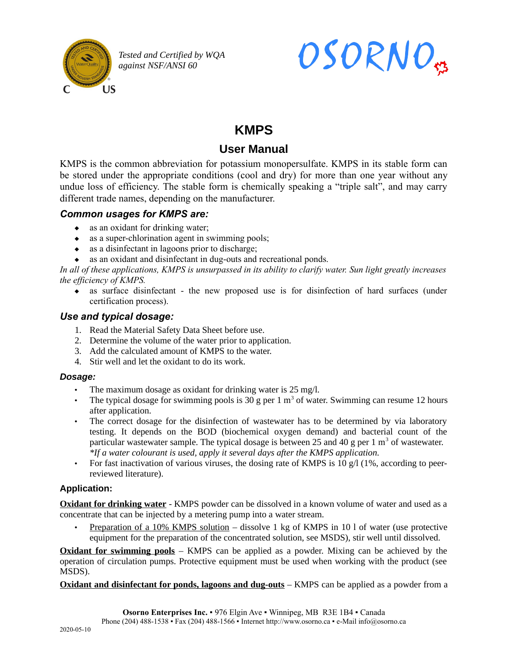

*Tested and Certified by WQA against NSF/ANSI 60*



# **KMPS**

# **User Manual**

KMPS is the common abbreviation for potassium monopersulfate. KMPS in its stable form can be stored under the appropriate conditions (cool and dry) for more than one year without any undue loss of efficiency. The stable form is chemically speaking a "triple salt", and may carry different trade names, depending on the manufacturer.

## *Common usages for KMPS are:*

- as an oxidant for drinking water;
- $\bullet$  as a super-chlorination agent in swimming pools;
- $\bullet$  as a disinfectant in lagoons prior to discharge;
- as an oxidant and disinfectant in dug-outs and recreational ponds.

*In all of these applications, KMPS is unsurpassed in its ability to clarify water. Sun light greatly increases the efficiency of KMPS.*

 as surface disinfectant - the new proposed use is for disinfection of hard surfaces (under certification process).

## *Use and typical dosage:*

- 1. Read the Material Safety Data Sheet before use.
- 2. Determine the volume of the water prior to application.
- 3. Add the calculated amount of KMPS to the water.
- 4. Stir well and let the oxidant to do its work.

#### *Dosage:*

- The maximum dosage as oxidant for drinking water is 25 mg/l.
- The typical dosage for swimming pools is 30 g per 1  $m<sup>3</sup>$  of water. Swimming can resume 12 hours after application.
- The correct dosage for the disinfection of wastewater has to be determined by via laboratory testing. It depends on the BOD (biochemical oxygen demand) and bacterial count of the particular wastewater sample. The typical dosage is between 25 and 40 g per 1  $m<sup>3</sup>$  of wastewater. *\*If a water colourant is used, apply it several days after the KMPS application.*
- For fast inactivation of various viruses, the dosing rate of KMPS is 10  $\alpha$ /l (1%, according to peerreviewed literature).

#### **Application:**

**Oxidant for drinking water** - KMPS powder can be dissolved in a known volume of water and used as a concentrate that can be injected by a metering pump into a water stream.

• Preparation of a 10% KMPS solution – dissolve 1 kg of KMPS in 10 l of water (use protective equipment for the preparation of the concentrated solution, see MSDS), stir well until dissolved.

**Oxidant for swimming pools** – KMPS can be applied as a powder. Mixing can be achieved by the operation of circulation pumps. Protective equipment must be used when working with the product (see MSDS).

**Oxidant and disinfectant for ponds, lagoons and dug-outs** – KMPS can be applied as a powder from a